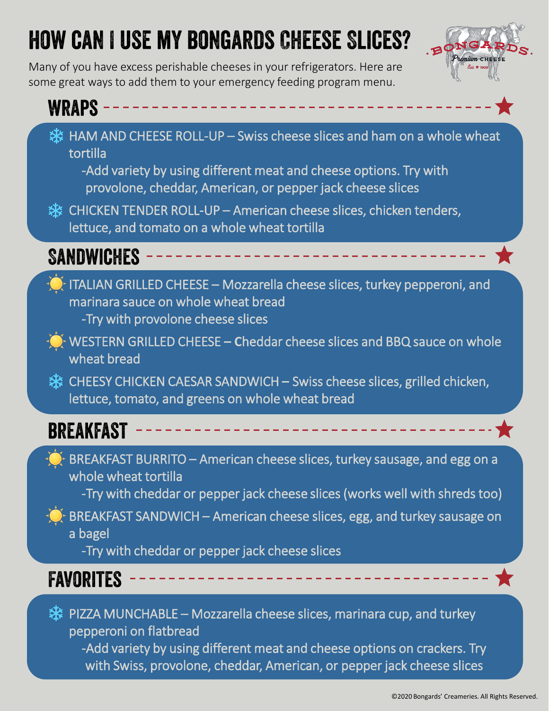# **HOW CAN I USE MY BONGARDS CHEESE SLICES?**

Many of you have excess perishable cheeses in your refrigerators. Here are some great ways to add them to your emergency feeding program menu.



#### **WRAPS -**举 HAM AND CHEESE ROLL-UP – Swiss cheese slices and ham on a whole wheat

tortilla

-Add variety by using different meat and cheese options. Try with provolone, cheddar, American, or pepper jack cheese slices

※ CHICKEN TENDER ROLL-UP – American cheese slices, chicken tenders, lettuce, and tomato on a whole wheat tortilla

**SANDWICHES** 

- $\bigcirc$  ITALIAN GRILLED CHEESE Mozzarella cheese slices, turkey pepperoni, and marinara sauce on whole wheat bread -Try with provolone cheese slices
- WESTERN GRILLED CHEESE **– C**heddar cheese slices and BBQ sauce on whole wheat bread
- **愁 CHEESY CHICKEN CAESAR SANDWICH Swiss cheese slices, grilled chicken,** lettuce, tomato, and greens on whole wheat bread

#### **BREAKFAST**

BREAKFAST BURRITO – American cheese slices, turkey sausage, and egg on a whole wheat tortilla

-Try with cheddar or pepper jack cheese slices (works well with shreds too)

BREAKFAST SANDWICH – American cheese slices, egg, and turkey sausage on a bagel

-Try with cheddar or pepper jack cheese slices

#### FAVORITES

※ PIZZA MUNCHABLE – Mozzarella cheese slices, marinara cup, and turkey pepperoni on flatbread -Add variety by using different meat and cheese options on crackers. Try

with Swiss, provolone, cheddar, American, or pepper jack cheese slices